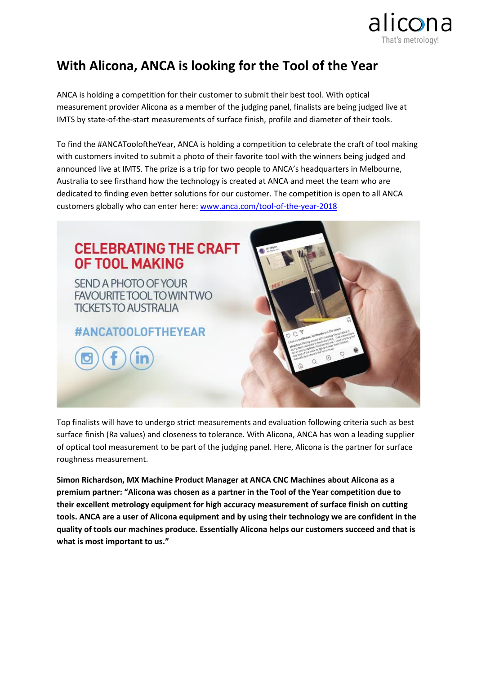

## **With Alicona, ANCA is looking for the Tool of the Year**

ANCA is holding a competition for their customer to submit their best tool. With optical measurement provider Alicona as a member of the judging panel, finalists are being judged live at IMTS by state-of-the-start measurements of surface finish, profile and diameter of their tools.

To find the #ANCATooloftheYear, ANCA is holding a competition to celebrate the craft of tool making with customers invited to submit a photo of their favorite tool with the winners being judged and announced live at IMTS. The prize is a trip for two people to ANCA's headquarters in Melbourne, Australia to see firsthand how the technology is created at ANCA and meet the team who are dedicated to finding even better solutions for our customer. The competition is open to all ANCA customers globally who can enter here: [www.anca.com/tool-of-the-year-2018](http://www.anca.com/tool-of-the-year-2018)



Top finalists will have to undergo strict measurements and evaluation following criteria such as best surface finish (Ra values) and closeness to tolerance. With Alicona, ANCA has won a leading supplier of optical tool measurement to be part of the judging panel. Here, Alicona is the partner for surface roughness measurement.

**Simon Richardson, MX Machine Product Manager at ANCA CNC Machines about Alicona as a premium partner: "Alicona was chosen as a partner in the Tool of the Year competition due to their excellent metrology equipment for high accuracy measurement of surface finish on cutting tools. ANCA are a user of Alicona equipment and by using their technology we are confident in the quality of tools our machines produce. Essentially Alicona helps our customers succeed and that is what is most important to us."**